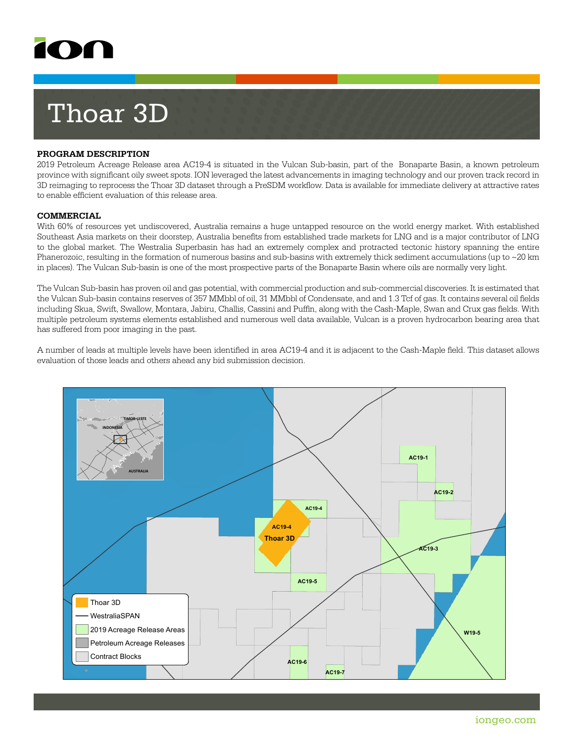

# Thoar 3D

## **PROGRAM DESCRIPTION**

2019 Petroleum Acreage Release area AC19-4 is situated in the Vulcan Sub-basin, part of the Bonaparte Basin, a known petroleum province with significant oily sweet spots. ION leveraged the latest advancements in imaging technology and our proven track record in 3D reimaging to reprocess the Thoar 3D dataset through a PreSDM workflow. Data is available for immediate delivery at attractive rates to enable efficient evaluation of this release area.

#### **COMMERCIAL**

With 60% of resources yet undiscovered, Australia remains a huge untapped resource on the world energy market. With established Southeast Asia markets on their doorstep, Australia benefits from established trade markets for LNG and is a major contributor of LNG to the global market. The Westralia Superbasin has had an extremely complex and protracted tectonic history spanning the entire Phanerozoic, resulting in the formation of numerous basins and sub-basins with extremely thick sediment accumulations (up to ~20 km in places). The Vulcan Sub-basin is one of the most prospective parts of the Bonaparte Basin where oils are normally very light.

The Vulcan Sub-basin has proven oil and gas potential, with commercial production and sub-commercial discoveries. It is estimated that the Vulcan Sub-basin contains reserves of 357 MMbbl of oil, 31 MMbbl of Condensate, and and 1.3 Tcf of gas. It contains several oil fields including Skua, Swift, Swallow, Montara, Jabiru, Challis, Cassini and Puffin, along with the Cash-Maple, Swan and Crux gas fields. With multiple petroleum systems elements established and numerous well data available, Vulcan is a proven hydrocarbon bearing area that has suffered from poor imaging in the past.

A number of leads at multiple levels have been identified in area AC19-4 and it is adjacent to the Cash-Maple field. This dataset allows evaluation of those leads and others ahead any bid submission decision.